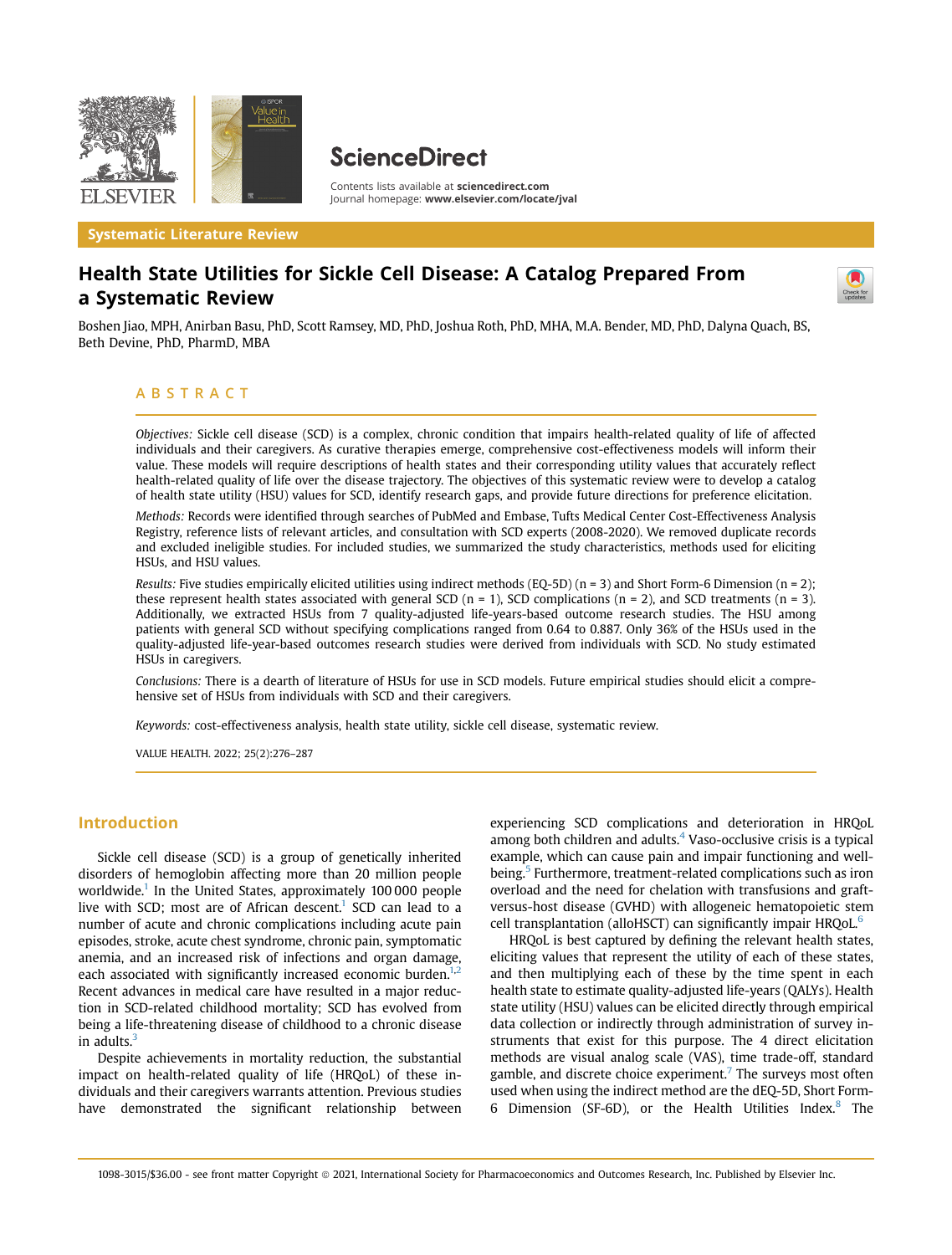

**ScienceDirect** 

Contents lists available at [sciencedirect.com](www.sciencedirect.com) Journal homepage: <www.elsevier.com/locate/jval>

Systematic Literature Review

# Health State Utilities for Sickle Cell Disease: A Catalog Prepared From a Systematic Review

Boshen Jiao, MPH, Anirban Basu, PhD, Scott Ramsey, MD, PhD, Joshua Roth, PhD, MHA, M.A. Bender, MD, PhD, Dalyna Quach, BS, Beth Devine, PhD, PharmD, MBA

### ABSTRACT

Objectives: Sickle cell disease (SCD) is a complex, chronic condition that impairs health-related quality of life of affected individuals and their caregivers. As curative therapies emerge, comprehensive cost-effectiveness models will inform their value. These models will require descriptions of health states and their corresponding utility values that accurately reflect health-related quality of life over the disease trajectory. The objectives of this systematic review were to develop a catalog of health state utility (HSU) values for SCD, identify research gaps, and provide future directions for preference elicitation.

Methods: Records were identified through searches of PubMed and Embase, Tufts Medical Center Cost-Effectiveness Analysis Registry, reference lists of relevant articles, and consultation with SCD experts (2008-2020). We removed duplicate records and excluded ineligible studies. For included studies, we summarized the study characteristics, methods used for eliciting HSUs, and HSU values.

Results: Five studies empirically elicited utilities using indirect methods (EQ-5D) (n = 3) and Short Form-6 Dimension (n = 2); these represent health states associated with general SCD ( $n = 1$ ), SCD complications ( $n = 2$ ), and SCD treatments ( $n = 3$ ). Additionally, we extracted HSUs from 7 quality-adjusted life-years-based outcome research studies. The HSU among patients with general SCD without specifying complications ranged from 0.64 to 0.887. Only 36% of the HSUs used in the quality-adjusted life-year-based outcomes research studies were derived from individuals with SCD. No study estimated HSUs in caregivers.

Conclusions: There is a dearth of literature of HSUs for use in SCD models. Future empirical studies should elicit a comprehensive set of HSUs from individuals with SCD and their caregivers.

Keywords: cost-effectiveness analysis, health state utility, sickle cell disease, systematic review.

VALUE HEALTH. 2022; 25(2):276–287

# Introduction

Sickle cell disease (SCD) is a group of genetically inherited disorders of hemoglobin affecting more than 20 million people worldwide.<sup>1</sup> In the United States, approximately 100000 people live with SCD; most are of African descent.<sup>1</sup> SCD can lead to a number of acute and chronic complications including acute pain episodes, stroke, acute chest syndrome, chronic pain, symptomatic anemia, and an increased risk of infections and organ damage, each associated with significantly increased economic burden. $1,2$  $1,2$ Recent advances in medical care have resulted in a major reduction in SCD-related childhood mortality; SCD has evolved from being a life-threatening disease of childhood to a chronic disease in adults. $3$ 

Despite achievements in mortality reduction, the substantial impact on health-related quality of life (HRQoL) of these individuals and their caregivers warrants attention. Previous studies have demonstrated the significant relationship between

experiencing SCD complications and deterioration in HRQoL among both children and adults. $4$  Vaso-occlusive crisis is a typical example, which can cause pain and impair functioning and well-being.<sup>[5](#page-10-4)</sup> Furthermore, treatment-related complications such as iron overload and the need for chelation with transfusions and graftversus-host disease (GVHD) with allogeneic hematopoietic stem cell transplantation (alloHSCT) can significantly impair HRQoL.<sup>6</sup>

HRQoL is best captured by defining the relevant health states, eliciting values that represent the utility of each of these states, and then multiplying each of these by the time spent in each health state to estimate quality-adjusted life-years (QALYs). Health state utility (HSU) values can be elicited directly through empirical data collection or indirectly through administration of survey instruments that exist for this purpose. The 4 direct elicitation methods are visual analog scale (VAS), time trade-off, standard gamble, and discrete choice experiment.<sup>[7](#page-10-6)</sup> The surveys most often used when using the indirect method are the dEQ-5D, Short Form-6 Dimension (SF-6D), or the Health Utilities Index.[8](#page-11-0) The

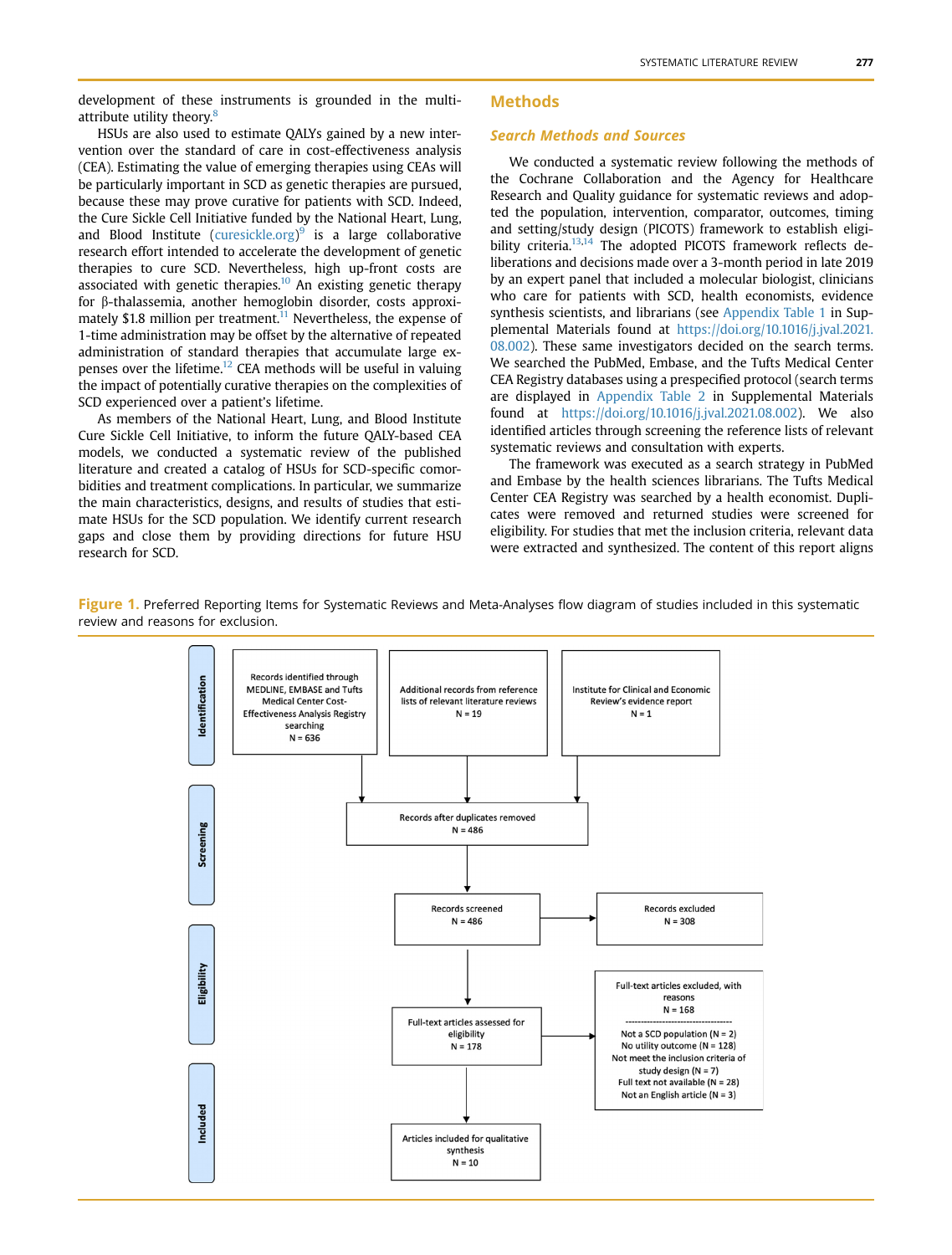development of these instruments is grounded in the multi-attribute utility theory.<sup>[8](#page-11-0)</sup>

### Methods

### Search Methods and Sources

HSUs are also used to estimate QALYs gained by a new intervention over the standard of care in cost-effectiveness analysis (CEA). Estimating the value of emerging therapies using CEAs will be particularly important in SCD as genetic therapies are pursued, because these may prove curative for patients with SCD. Indeed, the Cure Sickle Cell Initiative funded by the National Heart, Lung, and Blood Institute [\(curesickle.org\)](http://curesickle.org)<sup>[9](#page-11-1)</sup> is a large collaborative research effort intended to accelerate the development of genetic therapies to cure SCD. Nevertheless, high up-front costs are associated with genetic therapies.<sup>10</sup> An existing genetic therapy for b-thalassemia, another hemoglobin disorder, costs approxi-mately \$1.8 million per treatment.<sup>[11](#page-11-3)</sup> Nevertheless, the expense of 1-time administration may be offset by the alternative of repeated administration of standard therapies that accumulate large expenses over the lifetime.<sup>12</sup> CEA methods will be useful in valuing the impact of potentially curative therapies on the complexities of SCD experienced over a patient's lifetime.

As members of the National Heart, Lung, and Blood Institute Cure Sickle Cell Initiative, to inform the future QALY-based CEA models, we conducted a systematic review of the published literature and created a catalog of HSUs for SCD-specific comorbidities and treatment complications. In particular, we summarize the main characteristics, designs, and results of studies that estimate HSUs for the SCD population. We identify current research gaps and close them by providing directions for future HSU research for SCD.

We conducted a systematic review following the methods of the Cochrane Collaboration and the Agency for Healthcare Research and Quality guidance for systematic reviews and adopted the population, intervention, comparator, outcomes, timing and setting/study design (PICOTS) framework to establish eligi-bility criteria.<sup>[13,](#page-11-5)[14](#page-11-6)</sup> The adopted PICOTS framework reflects deliberations and decisions made over a 3-month period in late 2019 by an expert panel that included a molecular biologist, clinicians who care for patients with SCD, health economists, evidence synthesis scientists, and librarians (see Appendix Table 1 in Supplemental Materials found at [https://doi.org/10.1016/j.jval.2021.](https://doi.org/10.1016/j.jval.2021.08.002) [08.002\)](https://doi.org/10.1016/j.jval.2021.08.002). These same investigators decided on the search terms. We searched the PubMed, Embase, and the Tufts Medical Center CEA Registry databases using a prespecified protocol (search terms are displayed in Appendix Table 2 in Supplemental Materials found at [https://doi.org/10.1016/j.jval.2021.08.002\)](https://doi.org/10.1016/j.jval.2021.08.002). We also identified articles through screening the reference lists of relevant systematic reviews and consultation with experts.

The framework was executed as a search strategy in PubMed and Embase by the health sciences librarians. The Tufts Medical Center CEA Registry was searched by a health economist. Duplicates were removed and returned studies were screened for eligibility. For studies that met the inclusion criteria, relevant data were extracted and synthesized. The content of this report aligns

<span id="page-1-0"></span>Figure 1. Preferred Reporting Items for Systematic Reviews and Meta-Analyses flow diagram of studies included in this systematic review and reasons for exclusion.

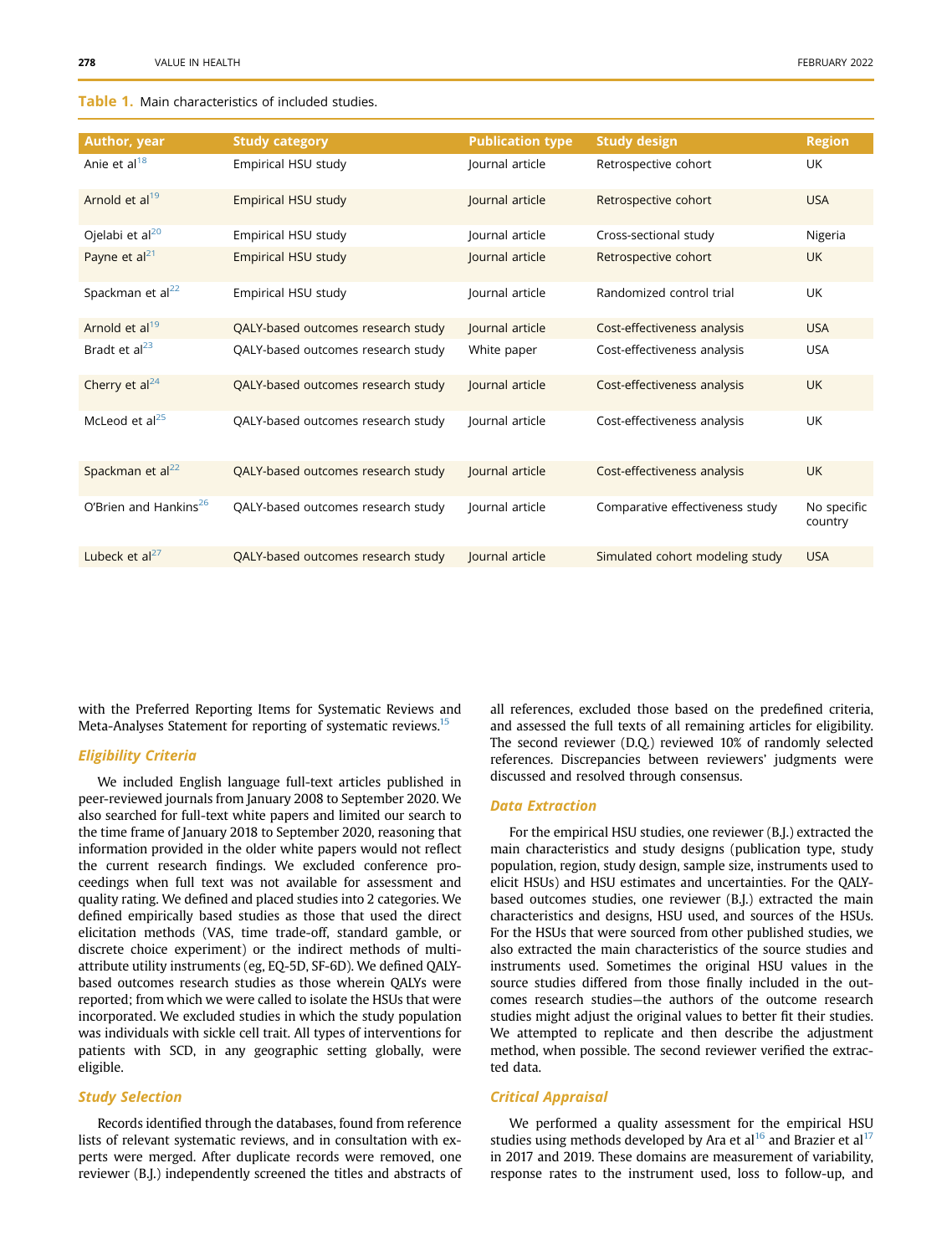### <span id="page-2-0"></span>Table 1. Main characteristics of included studies.

| Author, year                      | <b>Study category</b>              | <b>Publication type</b> | <b>Study design</b>             | <b>Region</b>          |
|-----------------------------------|------------------------------------|-------------------------|---------------------------------|------------------------|
| Anie et al $^{18}$                | Empirical HSU study                | Journal article         | Retrospective cohort            | <b>UK</b>              |
| Arnold et al <sup>19</sup>        | Empirical HSU study                | Journal article         | Retrospective cohort            | <b>USA</b>             |
| Ojelabi et al <sup>20</sup>       | Empirical HSU study                | Journal article         | Cross-sectional study           | Nigeria                |
| Payne et $al21$                   | Empirical HSU study                | Journal article         | Retrospective cohort            | <b>UK</b>              |
| Spackman et al <sup>22</sup>      | Empirical HSU study                | Journal article         | Randomized control trial        | UK                     |
| Arnold et al <sup>19</sup>        | QALY-based outcomes research study | Journal article         | Cost-effectiveness analysis     | <b>USA</b>             |
| Bradt et $al^{23}$                | QALY-based outcomes research study | White paper             | Cost-effectiveness analysis     | <b>USA</b>             |
| Cherry et $al24$                  | QALY-based outcomes research study | lournal article         | Cost-effectiveness analysis     | <b>UK</b>              |
| McLeod et $al25$                  | QALY-based outcomes research study | lournal article         | Cost-effectiveness analysis     | UK                     |
| Spackman et al <sup>22</sup>      | QALY-based outcomes research study | Journal article         | Cost-effectiveness analysis     | <b>UK</b>              |
| O'Brien and Hankins <sup>26</sup> | QALY-based outcomes research study | Journal article         | Comparative effectiveness study | No specific<br>country |
| Lubeck et $al^{27}$               | QALY-based outcomes research study | lournal article         | Simulated cohort modeling study | <b>USA</b>             |

with the Preferred Reporting Items for Systematic Reviews and Meta-Analyses Statement for reporting of systematic reviews.<sup>[15](#page-11-7)</sup>

### Eligibility Criteria

We included English language full-text articles published in peer-reviewed journals from January 2008 to September 2020. We also searched for full-text white papers and limited our search to the time frame of January 2018 to September 2020, reasoning that information provided in the older white papers would not reflect the current research findings. We excluded conference proceedings when full text was not available for assessment and quality rating. We defined and placed studies into 2 categories. We defined empirically based studies as those that used the direct elicitation methods (VAS, time trade-off, standard gamble, or discrete choice experiment) or the indirect methods of multiattribute utility instruments (eg, EQ-5D, SF-6D). We defined QALYbased outcomes research studies as those wherein QALYs were reported; from which we were called to isolate the HSUs that were incorporated. We excluded studies in which the study population was individuals with sickle cell trait. All types of interventions for patients with SCD, in any geographic setting globally, were eligible.

#### Study Selection

Records identified through the databases, found from reference lists of relevant systematic reviews, and in consultation with experts were merged. After duplicate records were removed, one reviewer (B.J.) independently screened the titles and abstracts of all references, excluded those based on the predefined criteria, and assessed the full texts of all remaining articles for eligibility. The second reviewer (D.Q.) reviewed 10% of randomly selected references. Discrepancies between reviewers' judgments were discussed and resolved through consensus.

### Data Extraction

For the empirical HSU studies, one reviewer (B.J.) extracted the main characteristics and study designs (publication type, study population, region, study design, sample size, instruments used to elicit HSUs) and HSU estimates and uncertainties. For the QALYbased outcomes studies, one reviewer (B.J.) extracted the main characteristics and designs, HSU used, and sources of the HSUs. For the HSUs that were sourced from other published studies, we also extracted the main characteristics of the source studies and instruments used. Sometimes the original HSU values in the source studies differed from those finally included in the outcomes research studies—the authors of the outcome research studies might adjust the original values to better fit their studies. We attempted to replicate and then describe the adjustment method, when possible. The second reviewer verified the extracted data.

#### Critical Appraisal

We performed a quality assessment for the empirical HSU studies using methods developed by Ara et al<sup>[16](#page-11-8)</sup> and Brazier et al<sup>[17](#page-11-9)</sup> in 2017 and 2019. These domains are measurement of variability, response rates to the instrument used, loss to follow-up, and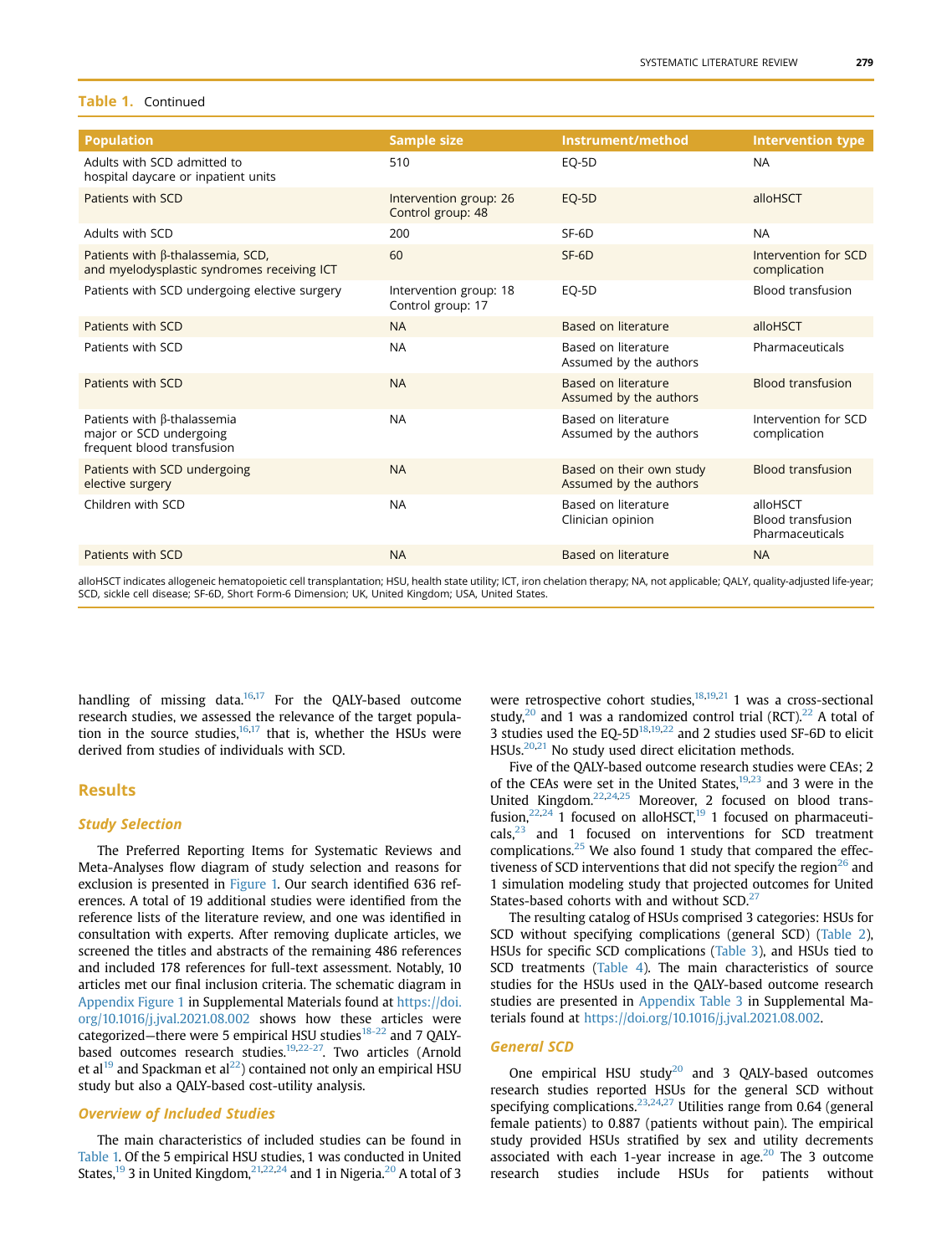#### Table 1. Continued

| <b>Population</b>                                                                           | <b>Sample size</b>                          | Instrument/method                                  | <b>Intervention type</b>                                |
|---------------------------------------------------------------------------------------------|---------------------------------------------|----------------------------------------------------|---------------------------------------------------------|
| Adults with SCD admitted to<br>hospital daycare or inpatient units                          | 510                                         | EQ-5D                                              | <b>NA</b>                                               |
| Patients with SCD                                                                           | Intervention group: 26<br>Control group: 48 | EQ-5D                                              | alloHSCT                                                |
| Adults with SCD                                                                             | 200                                         | $SF-6D$                                            | <b>NA</b>                                               |
| Patients with β-thalassemia, SCD,<br>and myelodysplastic syndromes receiving ICT            | 60                                          | $SF-6D$                                            | Intervention for SCD<br>complication                    |
| Patients with SCD undergoing elective surgery                                               | Intervention group: 18<br>Control group: 17 | EQ-5D                                              | <b>Blood transfusion</b>                                |
| Patients with SCD                                                                           | <b>NA</b>                                   | Based on literature                                | alloHSCT                                                |
| Patients with SCD                                                                           | <b>NA</b>                                   | Based on literature<br>Assumed by the authors      | Pharmaceuticals                                         |
| Patients with SCD                                                                           | <b>NA</b>                                   | Based on literature<br>Assumed by the authors      | <b>Blood transfusion</b>                                |
| Patients with $\beta$ -thalassemia<br>major or SCD undergoing<br>frequent blood transfusion | <b>NA</b>                                   | Based on literature<br>Assumed by the authors      | Intervention for SCD<br>complication                    |
| Patients with SCD undergoing<br>elective surgery                                            | <b>NA</b>                                   | Based on their own study<br>Assumed by the authors | <b>Blood transfusion</b>                                |
| Children with SCD                                                                           | <b>NA</b>                                   | Based on literature<br>Clinician opinion           | alloHSCT<br><b>Blood transfusion</b><br>Pharmaceuticals |
| Patients with SCD                                                                           | <b>NA</b>                                   | Based on literature                                | <b>NA</b>                                               |
|                                                                                             |                                             |                                                    |                                                         |

alloHSCT indicates allogeneic hematopoietic cell transplantation; HSU, health state utility; ICT, iron chelation therapy; NA, not applicable; QALY, quality-adjusted life-year; SCD, sickle cell disease; SF-6D, Short Form-6 Dimension; UK, United Kingdom; USA, United States.

handling of missing data. $16,17$  $16,17$  For the QALY-based outcome research studies, we assessed the relevance of the target population in the source studies, $16,17$  $16,17$  that is, whether the HSUs were derived from studies of individuals with SCD.

### Results

### Study Selection

The Preferred Reporting Items for Systematic Reviews and Meta-Analyses flow diagram of study selection and reasons for exclusion is presented in [Figure 1.](#page-1-0) Our search identified 636 references. A total of 19 additional studies were identified from the reference lists of the literature review, and one was identified in consultation with experts. After removing duplicate articles, we screened the titles and abstracts of the remaining 486 references and included 178 references for full-text assessment. Notably, 10 articles met our final inclusion criteria. The schematic diagram in Appendix Figure 1 in Supplemental Materials found at [https://doi.](https://doi.org/10.1016/j.jval.2021.08.002) [org/10.1016/j.jval.2021.08.002](https://doi.org/10.1016/j.jval.2021.08.002) shows how these articles were categorized–there were 5 empirical HSU studies<sup>[18-22](#page-11-10)</sup> and 7 QALY-based outcomes research studies.<sup>[19,](#page-11-11)22-27</sup>. Two articles (Arnold et al<sup>[19](#page-11-11)</sup> and Spackman et al<sup>[22](#page-11-14)</sup>) contained not only an empirical HSU study but also a QALY-based cost-utility analysis.

#### Overview of Included Studies

The main characteristics of included studies can be found in [Table 1.](#page-2-0) Of the 5 empirical HSU studies, 1 was conducted in United States,<sup>19</sup> 3 in United Kingdom,<sup>[21,](#page-11-13)[22](#page-11-14)[,24](#page-11-16)</sup> and 1 in Nigeria.<sup>[20](#page-11-12)</sup> A total of 3 were retrospective cohort studies,<sup>18,[19,](#page-11-11)[21](#page-11-13)</sup> 1 was a cross-sectional study, $20$  and 1 was a randomized control trial (RCT). $22$  A total of 3 studies used the EQ-5[D18,](#page-11-10)[19](#page-11-11),[22](#page-11-14) and 2 studies used SF-6D to elicit HSUs.[20,](#page-11-12)[21](#page-11-13) No study used direct elicitation methods.

Five of the QALY-based outcome research studies were CEAs; 2 of the CEAs were set in the United States, $19,23$  $19,23$  and 3 were in the United Kingdom[.22](#page-11-14)[,24](#page-11-16),[25](#page-11-17) Moreover, 2 focused on blood transfusion, $22,24$  $22,24$  1 focused on alloHSCT,<sup>19</sup> 1 focused on pharmaceuticals[,23](#page-11-15) and 1 focused on interventions for SCD treatment complications[.25](#page-11-17) We also found 1 study that compared the effectiveness of SCD interventions that did not specify the region $^{26}$  $^{26}$  $^{26}$  and 1 simulation modeling study that projected outcomes for United States-based cohorts with and without  $SCD<sup>27</sup>$ 

The resulting catalog of HSUs comprised 3 categories: HSUs for SCD without specifying complications (general SCD) [\(Table 2](#page-4-0)), HSUs for specific SCD complications [\(Table 3](#page-5-0)), and HSUs tied to SCD treatments ([Table 4](#page-7-0)). The main characteristics of source studies for the HSUs used in the QALY-based outcome research studies are presented in Appendix Table 3 in Supplemental Materials found at [https://doi.org/10.1016/j.jval.2021.08.002.](https://doi.org/10.1016/j.jval.2021.08.002)

### General SCD

One empirical HSU study $^{20}$  and 3 QALY-based outcomes research studies reported HSUs for the general SCD without specifying complications.<sup>[23](#page-11-15),[24,](#page-11-16)[27](#page-11-19)</sup> Utilities range from 0.64 (general female patients) to 0.887 (patients without pain). The empirical study provided HSUs stratified by sex and utility decrements associated with each 1-year increase in age. $20$  The 3 outcome research studies include HSUs for patients without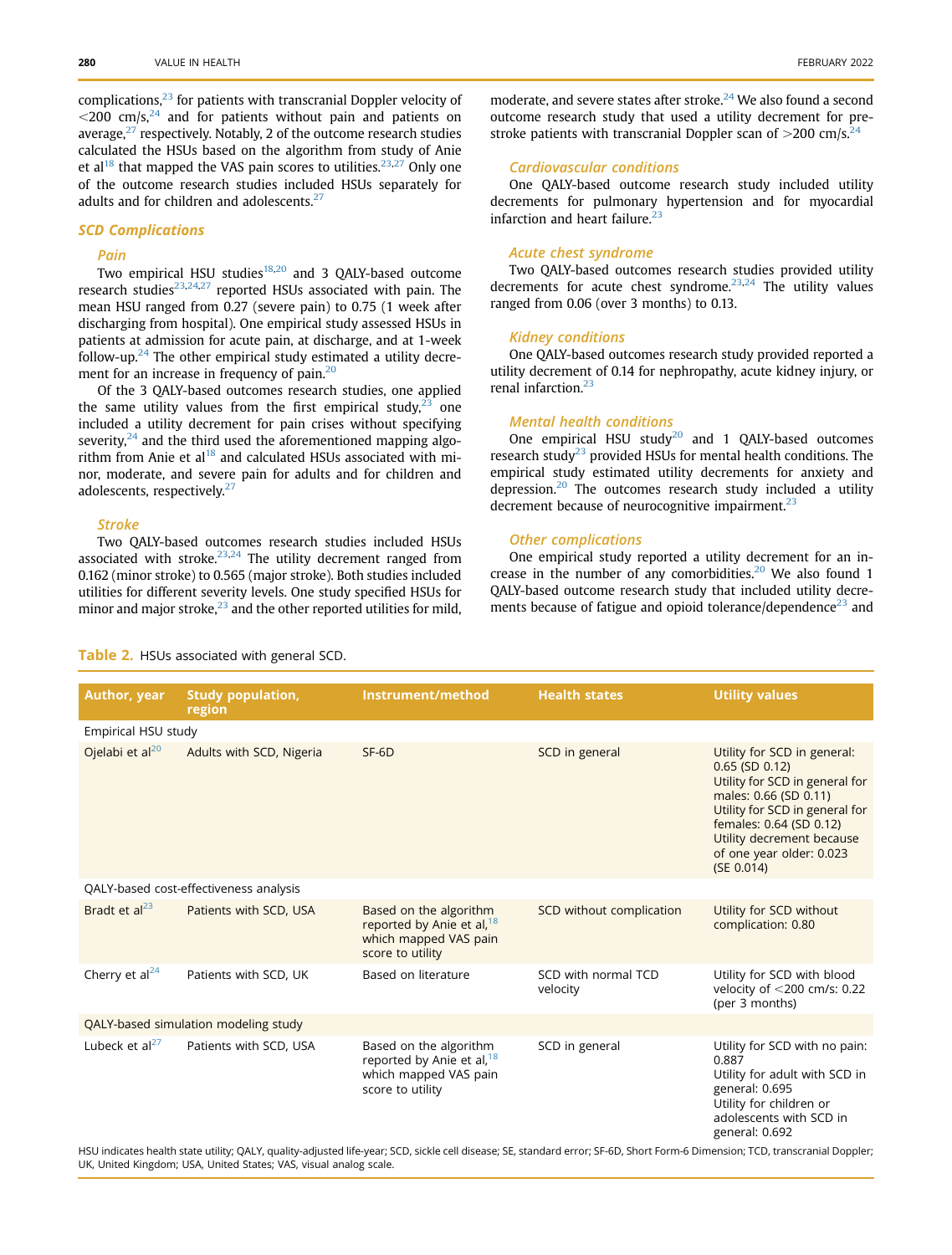complications, $23$  for patients with transcranial Doppler velocity of  $\langle 200 \, \text{cm/s},^{24}$  and for patients without pain and patients on average, $^{27}$  $^{27}$  $^{27}$  respectively. Notably, 2 of the outcome research studies calculated the HSUs based on the algorithm from study of Anie et al<sup>[18](#page-11-10)</sup> that mapped the VAS pain scores to utilities.<sup>[23](#page-11-15),[27](#page-11-19)</sup> Only one of the outcome research studies included HSUs separately for adults and for children and adolescents. $27$ 

#### SCD Complications

### Pain

Two empirical HSU studies<sup>18,[20](#page-11-12)</sup> and 3 QALY-based outcome research studies $23,24,27$  $23,24,27$  $23,24,27$  $23,24,27$  reported HSUs associated with pain. The mean HSU ranged from 0.27 (severe pain) to 0.75 (1 week after discharging from hospital). One empirical study assessed HSUs in patients at admission for acute pain, at discharge, and at 1-week follow-up. $^{24}$  $^{24}$  $^{24}$  The other empirical study estimated a utility decrement for an increase in frequency of pain.<sup>20</sup>

Of the 3 QALY-based outcomes research studies, one applied the same utility values from the first empirical study, $23$  one included a utility decrement for pain crises without specifying severity, $24$  and the third used the aforementioned mapping algorithm from Anie et  $a1^{18}$  and calculated HSUs associated with minor, moderate, and severe pain for adults and for children and adolescents, respectively.<sup>27</sup>

#### Stroke

Two QALY-based outcomes research studies included HSUs associated with stroke. $23,24$  $23,24$  $23,24$  The utility decrement ranged from 0.162 (minor stroke) to 0.565 (major stroke). Both studies included utilities for different severity levels. One study specified HSUs for minor and major stroke, $^{23}$  $^{23}$  $^{23}$  and the other reported utilities for mild,

moderate, and severe states after stroke.<sup>24</sup> We also found a second outcome research study that used a utility decrement for prestroke patients with transcranial Doppler scan of  $>$ 200 cm/s.<sup>24</sup>

### Cardiovascular conditions

One QALY-based outcome research study included utility decrements for pulmonary hypertension and for myocardial infarction and heart failure. $2$ 

#### Acute chest syndrome

Two QALY-based outcomes research studies provided utility decrements for acute chest syndrome. $23,24$  $23,24$  The utility values ranged from 0.06 (over 3 months) to 0.13.

#### Kidney conditions

One QALY-based outcomes research study provided reported a utility decrement of 0.14 for nephropathy, acute kidney injury, or renal infarction.<sup>[23](#page-11-15)</sup>

#### Mental health conditions

One empirical HSU study $20$  and 1 QALY-based outcomes research study<sup>[23](#page-11-15)</sup> provided HSUs for mental health conditions. The empirical study estimated utility decrements for anxiety and depression. $20$  The outcomes research study included a utility decrement because of neurocognitive impairment. $^{23}$  $^{23}$  $^{23}$ 

### Other complications

One empirical study reported a utility decrement for an increase in the number of any comorbidities. $20$  We also found 1 QALY-based outcome research study that included utility decrements because of fatigue and opioid tolerance/dependence $^{23}$  $^{23}$  $^{23}$  and

### <span id="page-4-0"></span>Table 2. HSUs associated with general SCD.

| Author, year                           | <b>Study population,</b><br>region | Instrument/method                                                                                            | <b>Health states</b>            | <b>Utility values</b>                                                                                                                                                                                                                             |  |
|----------------------------------------|------------------------------------|--------------------------------------------------------------------------------------------------------------|---------------------------------|---------------------------------------------------------------------------------------------------------------------------------------------------------------------------------------------------------------------------------------------------|--|
| Empirical HSU study                    |                                    |                                                                                                              |                                 |                                                                                                                                                                                                                                                   |  |
| Ojelabi et al $^{20}$                  | Adults with SCD, Nigeria           | $SF-6D$                                                                                                      | SCD in general                  | Utility for SCD in general:<br>$0.65$ (SD $0.12$ )<br>Utility for SCD in general for<br>males: 0.66 (SD 0.11)<br>Utility for SCD in general for<br>females: 0.64 (SD 0.12)<br>Utility decrement because<br>of one year older: 0.023<br>(SE 0.014) |  |
| QALY-based cost-effectiveness analysis |                                    |                                                                                                              |                                 |                                                                                                                                                                                                                                                   |  |
| Bradt et $al23$                        | Patients with SCD, USA             | Based on the algorithm<br>reported by Anie et al, <sup>18</sup><br>which mapped VAS pain<br>score to utility | SCD without complication        | Utility for SCD without<br>complication: 0.80                                                                                                                                                                                                     |  |
| Cherry et al <sup>24</sup>             | Patients with SCD, UK              | Based on literature                                                                                          | SCD with normal TCD<br>velocity | Utility for SCD with blood<br>velocity of <200 cm/s: 0.22<br>(per 3 months)                                                                                                                                                                       |  |
| QALY-based simulation modeling study   |                                    |                                                                                                              |                                 |                                                                                                                                                                                                                                                   |  |
| Lubeck et $al^{27}$                    | Patients with SCD, USA             | Based on the algorithm<br>reported by Anie et al, <sup>18</sup><br>which mapped VAS pain<br>score to utility | SCD in general                  | Utility for SCD with no pain:<br>0.887<br>Utility for adult with SCD in<br>general: 0.695<br>Utility for children or<br>adolescents with SCD in<br>general: 0.692                                                                                 |  |

HSU indicates health state utility; QALY, quality-adjusted life-year; SCD, sickle cell disease; SE, standard error; SF-6D, Short Form-6 Dimension; TCD, transcranial Doppler; UK, United Kingdom; USA, United States; VAS, visual analog scale.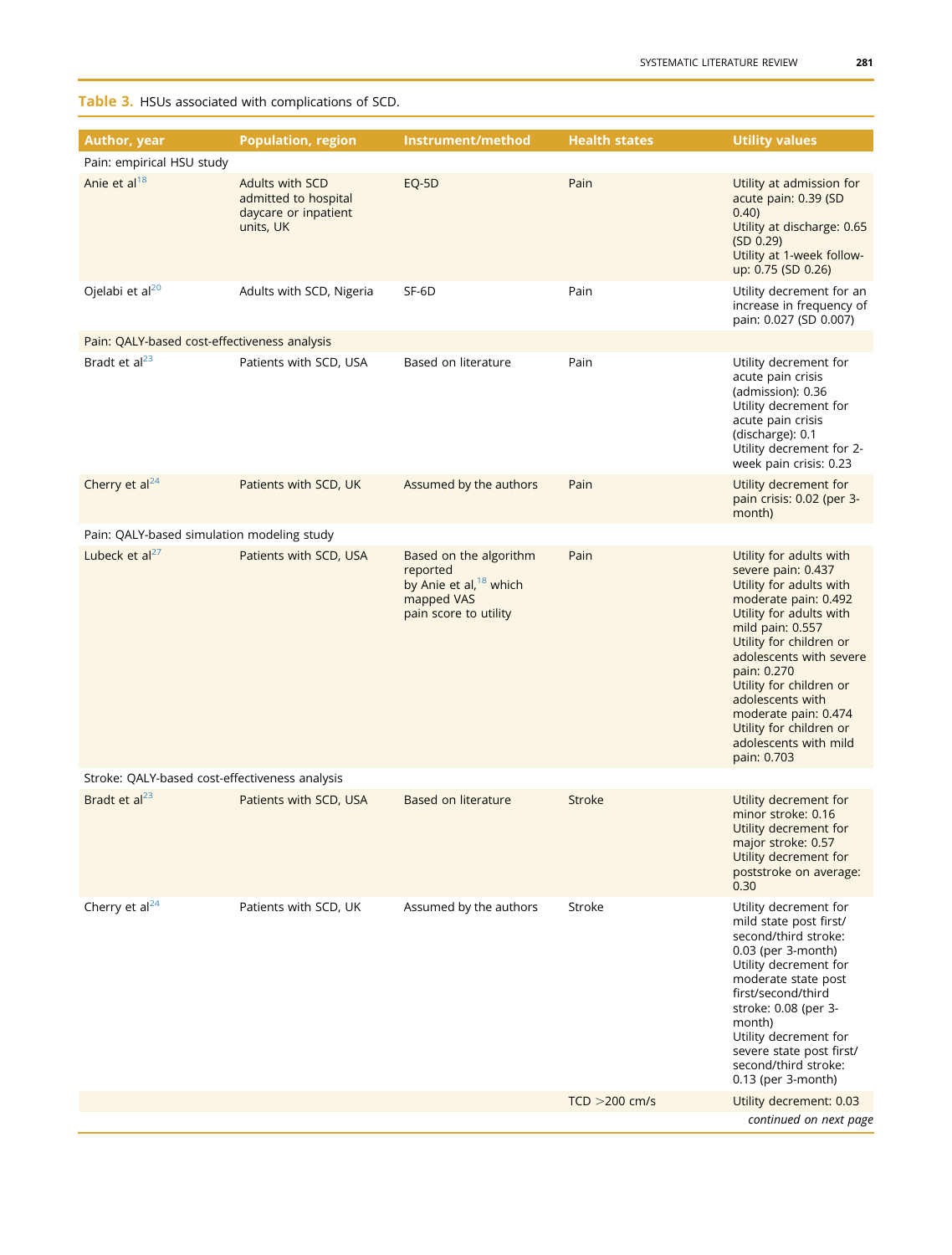# <span id="page-5-0"></span>Table 3. HSUs associated with complications of SCD.

| <b>Health states</b><br><b>Utility values</b><br>Author, year<br><b>Population, region</b><br>Instrument/method<br>Pain: empirical HSU study<br>Anie et al <sup>18</sup><br>Adults with SCD<br>Pain<br>EQ-5D<br>Utility at admission for<br>admitted to hospital<br>acute pain: 0.39 (SD<br>daycare or inpatient<br>0.40<br>Utility at discharge: 0.65<br>units, UK<br>(SD 0.29)<br>Utility at 1-week follow-<br>up: 0.75 (SD 0.26)<br>Ojelabi et al <sup>20</sup><br>Adults with SCD, Nigeria<br>SF-6D<br>Pain<br>Utility decrement for an<br>increase in frequency of<br>pain: 0.027 (SD 0.007)<br>Pain: QALY-based cost-effectiveness analysis<br>Bradt et al <sup>23</sup><br>Patients with SCD, USA<br>Based on literature<br>Pain<br>Utility decrement for<br>acute pain crisis<br>(admission): 0.36<br>Utility decrement for<br>acute pain crisis<br>(discharge): 0.1<br>Utility decrement for 2-<br>week pain crisis: 0.23<br>Cherry et al <sup>24</sup><br>Patients with SCD, UK<br>Assumed by the authors<br>Pain<br>Utility decrement for<br>pain crisis: 0.02 (per 3-<br>month)<br>Pain: QALY-based simulation modeling study<br>Lubeck et $al27$<br>Patients with SCD, USA<br>Based on the algorithm<br>Pain<br>Utility for adults with |  |  |  |  |  |  |
|------------------------------------------------------------------------------------------------------------------------------------------------------------------------------------------------------------------------------------------------------------------------------------------------------------------------------------------------------------------------------------------------------------------------------------------------------------------------------------------------------------------------------------------------------------------------------------------------------------------------------------------------------------------------------------------------------------------------------------------------------------------------------------------------------------------------------------------------------------------------------------------------------------------------------------------------------------------------------------------------------------------------------------------------------------------------------------------------------------------------------------------------------------------------------------------------------------------------------------------------------|--|--|--|--|--|--|
|                                                                                                                                                                                                                                                                                                                                                                                                                                                                                                                                                                                                                                                                                                                                                                                                                                                                                                                                                                                                                                                                                                                                                                                                                                                      |  |  |  |  |  |  |
|                                                                                                                                                                                                                                                                                                                                                                                                                                                                                                                                                                                                                                                                                                                                                                                                                                                                                                                                                                                                                                                                                                                                                                                                                                                      |  |  |  |  |  |  |
|                                                                                                                                                                                                                                                                                                                                                                                                                                                                                                                                                                                                                                                                                                                                                                                                                                                                                                                                                                                                                                                                                                                                                                                                                                                      |  |  |  |  |  |  |
|                                                                                                                                                                                                                                                                                                                                                                                                                                                                                                                                                                                                                                                                                                                                                                                                                                                                                                                                                                                                                                                                                                                                                                                                                                                      |  |  |  |  |  |  |
|                                                                                                                                                                                                                                                                                                                                                                                                                                                                                                                                                                                                                                                                                                                                                                                                                                                                                                                                                                                                                                                                                                                                                                                                                                                      |  |  |  |  |  |  |
|                                                                                                                                                                                                                                                                                                                                                                                                                                                                                                                                                                                                                                                                                                                                                                                                                                                                                                                                                                                                                                                                                                                                                                                                                                                      |  |  |  |  |  |  |
|                                                                                                                                                                                                                                                                                                                                                                                                                                                                                                                                                                                                                                                                                                                                                                                                                                                                                                                                                                                                                                                                                                                                                                                                                                                      |  |  |  |  |  |  |
| reported<br>severe pain: 0.437<br>by Anie et al, <sup>18</sup> which<br>Utility for adults with<br>mapped VAS<br>moderate pain: 0.492<br>Utility for adults with<br>pain score to utility<br>mild pain: 0.557<br>Utility for children or<br>adolescents with severe<br>pain: 0.270<br>Utility for children or<br>adolescents with<br>moderate pain: 0.474<br>Utility for children or<br>adolescents with mild<br>pain: 0.703                                                                                                                                                                                                                                                                                                                                                                                                                                                                                                                                                                                                                                                                                                                                                                                                                         |  |  |  |  |  |  |
| Stroke: QALY-based cost-effectiveness analysis                                                                                                                                                                                                                                                                                                                                                                                                                                                                                                                                                                                                                                                                                                                                                                                                                                                                                                                                                                                                                                                                                                                                                                                                       |  |  |  |  |  |  |
| Bradt et al <sup>23</sup><br>Patients with SCD, USA<br>Based on literature<br><b>Stroke</b><br>Utility decrement for<br>minor stroke: 0.16<br>Utility decrement for<br>major stroke: 0.57<br>Utility decrement for<br>poststroke on average:<br>0.30                                                                                                                                                                                                                                                                                                                                                                                                                                                                                                                                                                                                                                                                                                                                                                                                                                                                                                                                                                                                 |  |  |  |  |  |  |
| Cherry et $al24$<br>Patients with SCD, UK<br>Assumed by the authors<br>Stroke<br>Utility decrement for<br>mild state post first/<br>second/third stroke:<br>0.03 (per 3-month)<br>Utility decrement for<br>moderate state post<br>first/second/third<br>stroke: 0.08 (per 3-<br>month)<br>Utility decrement for<br>severe state post first/<br>second/third stroke:<br>0.13 (per 3-month)                                                                                                                                                                                                                                                                                                                                                                                                                                                                                                                                                                                                                                                                                                                                                                                                                                                            |  |  |  |  |  |  |
| $TCD > 200$ cm/s<br>Utility decrement: 0.03<br>continued on next page                                                                                                                                                                                                                                                                                                                                                                                                                                                                                                                                                                                                                                                                                                                                                                                                                                                                                                                                                                                                                                                                                                                                                                                |  |  |  |  |  |  |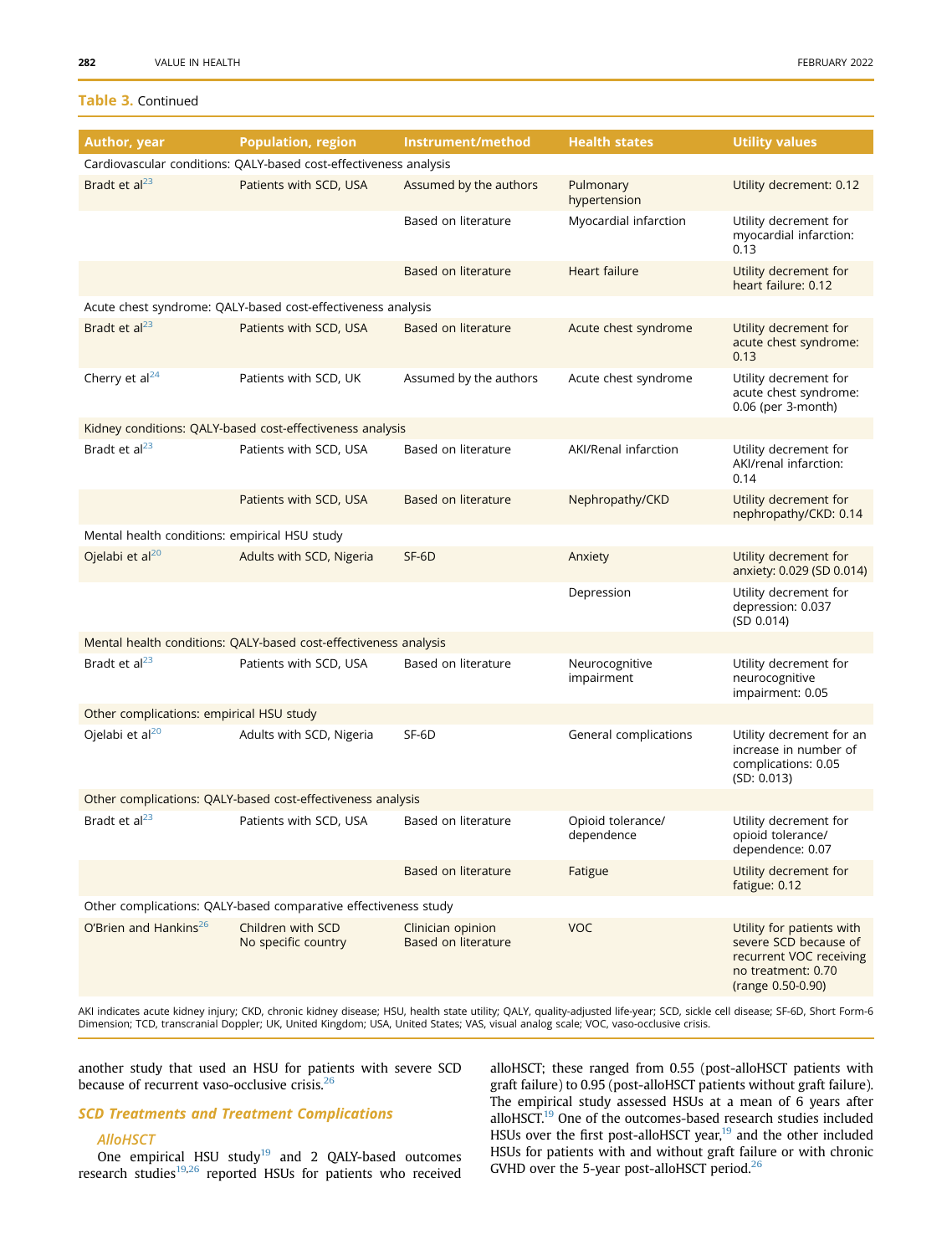## Table 3. Continued

| Author, year                                                    | <b>Population, region</b>                                                                                                                                                  | Instrument/method                        | <b>Health states</b>            | <b>Utility values</b>                                                                                                    |  |  |
|-----------------------------------------------------------------|----------------------------------------------------------------------------------------------------------------------------------------------------------------------------|------------------------------------------|---------------------------------|--------------------------------------------------------------------------------------------------------------------------|--|--|
|                                                                 | Cardiovascular conditions: QALY-based cost-effectiveness analysis                                                                                                          |                                          |                                 |                                                                                                                          |  |  |
| Bradt et al <sup>23</sup>                                       | Patients with SCD, USA                                                                                                                                                     | Assumed by the authors                   | Pulmonary<br>hypertension       | Utility decrement: 0.12                                                                                                  |  |  |
|                                                                 |                                                                                                                                                                            | Based on literature                      | Myocardial infarction           | Utility decrement for<br>myocardial infarction:<br>0.13                                                                  |  |  |
|                                                                 |                                                                                                                                                                            | Based on literature                      | Heart failure                   | Utility decrement for<br>heart failure: 0.12                                                                             |  |  |
|                                                                 | Acute chest syndrome: QALY-based cost-effectiveness analysis                                                                                                               |                                          |                                 |                                                                                                                          |  |  |
| Bradt et al <sup>23</sup>                                       | Patients with SCD, USA                                                                                                                                                     | Based on literature                      | Acute chest syndrome            | Utility decrement for<br>acute chest syndrome:<br>0.13                                                                   |  |  |
| Cherry et al <sup>24</sup>                                      | Patients with SCD, UK                                                                                                                                                      | Assumed by the authors                   | Acute chest syndrome            | Utility decrement for<br>acute chest syndrome:<br>0.06 (per 3-month)                                                     |  |  |
|                                                                 | Kidney conditions: QALY-based cost-effectiveness analysis                                                                                                                  |                                          |                                 |                                                                                                                          |  |  |
| Bradt et al <sup>23</sup>                                       | Patients with SCD, USA                                                                                                                                                     | Based on literature                      | AKI/Renal infarction            | Utility decrement for<br>AKI/renal infarction:<br>0.14                                                                   |  |  |
|                                                                 | Patients with SCD, USA                                                                                                                                                     | Based on literature                      | Nephropathy/CKD                 | Utility decrement for<br>nephropathy/CKD: 0.14                                                                           |  |  |
| Mental health conditions: empirical HSU study                   |                                                                                                                                                                            |                                          |                                 |                                                                                                                          |  |  |
| Ojelabi et al $^{20}$                                           | Adults with SCD, Nigeria                                                                                                                                                   | SF-6D                                    | Anxiety                         | Utility decrement for<br>anxiety: 0.029 (SD 0.014)                                                                       |  |  |
|                                                                 |                                                                                                                                                                            |                                          | Depression                      | Utility decrement for<br>depression: 0.037<br>(SD 0.014)                                                                 |  |  |
|                                                                 | Mental health conditions: QALY-based cost-effectiveness analysis                                                                                                           |                                          |                                 |                                                                                                                          |  |  |
| Bradt et al $^{23}$                                             | Patients with SCD, USA                                                                                                                                                     | Based on literature                      | Neurocognitive<br>impairment    | Utility decrement for<br>neurocognitive<br>impairment: 0.05                                                              |  |  |
| Other complications: empirical HSU study                        |                                                                                                                                                                            |                                          |                                 |                                                                                                                          |  |  |
| Ojelabi et al <sup>20</sup>                                     | Adults with SCD, Nigeria                                                                                                                                                   | SF-6D                                    | General complications           | Utility decrement for an<br>increase in number of<br>complications: 0.05<br>(SD: 0.013)                                  |  |  |
| Other complications: QALY-based cost-effectiveness analysis     |                                                                                                                                                                            |                                          |                                 |                                                                                                                          |  |  |
| Bradt et al <sup>23</sup>                                       | Patients with SCD, USA                                                                                                                                                     | Based on literature                      | Opioid tolerance/<br>dependence | Utility decrement for<br>opioid tolerance/<br>dependence: 0.07                                                           |  |  |
|                                                                 |                                                                                                                                                                            | Based on literature                      | Fatigue                         | Utility decrement for<br>fatigue: 0.12                                                                                   |  |  |
| Other complications: QALY-based comparative effectiveness study |                                                                                                                                                                            |                                          |                                 |                                                                                                                          |  |  |
| O'Brien and Hankins <sup>26</sup>                               | Children with SCD<br>No specific country                                                                                                                                   | Clinician opinion<br>Based on literature | <b>VOC</b>                      | Utility for patients with<br>severe SCD because of<br>recurrent VOC receiving<br>no treatment: 0.70<br>(range 0.50-0.90) |  |  |
|                                                                 | AKI indicates acute kidney injury; CKD, chronic kidney disease; HSU, health state utility; QALY, quality-adjusted life-year; SCD, sickle cell disease; SF-6D, Short Form-6 |                                          |                                 |                                                                                                                          |  |  |

Dimension; TCD, transcranial Doppler; UK, United Kingdom; USA, United States; VAS, visual analog scale; VOC, vaso-occlusive crisis.

another study that used an HSU for patients with severe SCD because of recurrent vaso-occlusive crisis.<sup>[26](#page-11-18)</sup>

### SCD Treatments and Treatment Complications

#### **AlloHSCT**

One empirical HSU study $^{19}$  and 2 QALY-based outcomes research studies<sup>[19](#page-11-11),[26](#page-11-18)</sup> reported HSUs for patients who received alloHSCT; these ranged from 0.55 (post-alloHSCT patients with graft failure) to 0.95 (post-alloHSCT patients without graft failure). The empirical study assessed HSUs at a mean of 6 years after alloHSCT.[19](#page-11-11) One of the outcomes-based research studies included HSUs over the first post-alloHSCT year,<sup>[19](#page-11-11)</sup> and the other included HSUs for patients with and without graft failure or with chronic GVHD over the 5-year post-alloHSCT period. $26$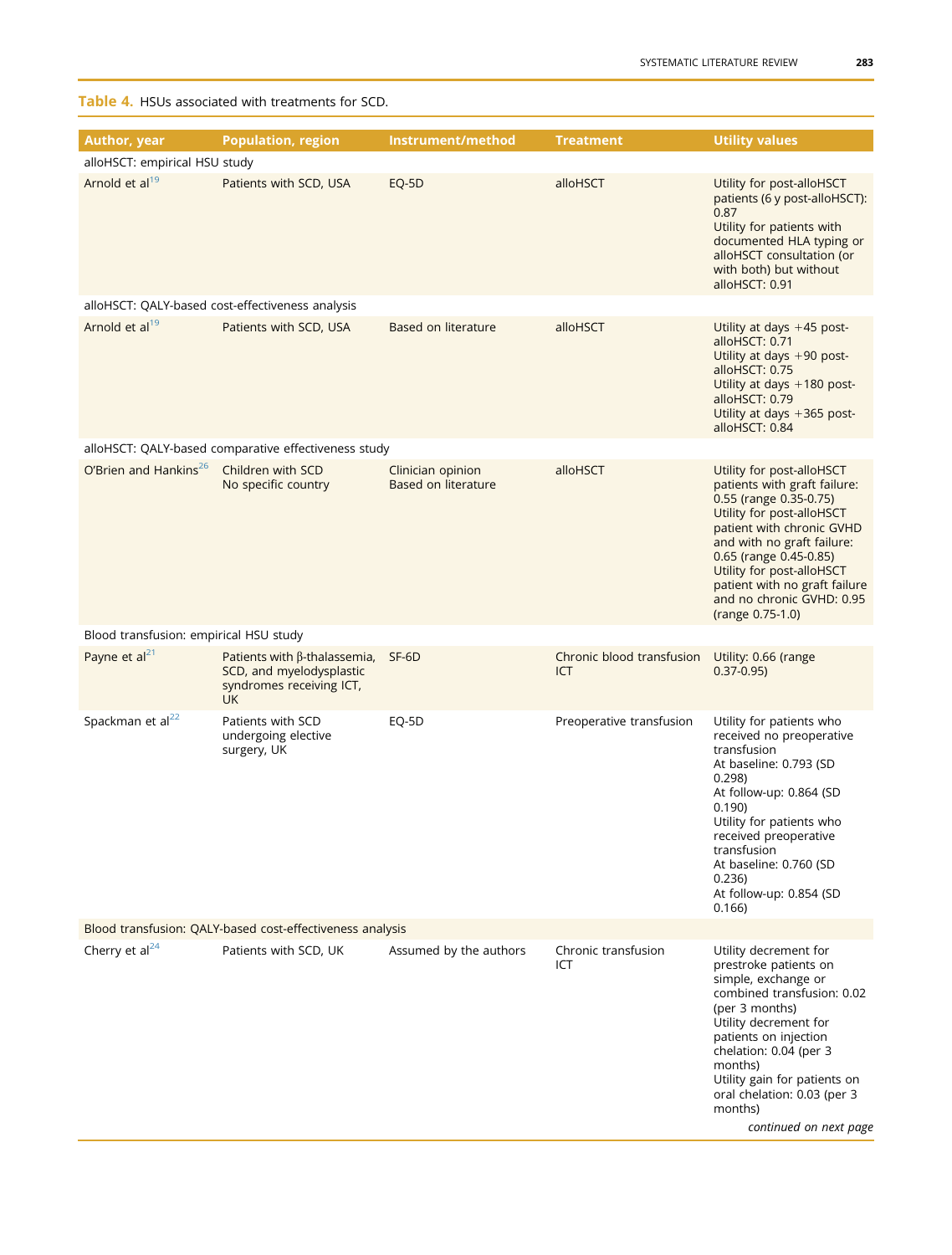<span id="page-7-0"></span>Table 4. HSUs associated with treatments for SCD.

| Author, year                                              | <b>Population, region</b>                                                                                      | Instrument/method                        | <b>Treatment</b>                 | <b>Utility values</b>                                                                                                                                                                                                                                                                                                |  |  |
|-----------------------------------------------------------|----------------------------------------------------------------------------------------------------------------|------------------------------------------|----------------------------------|----------------------------------------------------------------------------------------------------------------------------------------------------------------------------------------------------------------------------------------------------------------------------------------------------------------------|--|--|
| alloHSCT: empirical HSU study                             |                                                                                                                |                                          |                                  |                                                                                                                                                                                                                                                                                                                      |  |  |
| Arnold et al <sup>19</sup>                                | Patients with SCD, USA                                                                                         | EQ-5D                                    | alloHSCT                         | Utility for post-alloHSCT<br>patients (6 y post-alloHSCT):<br>0.87<br>Utility for patients with<br>documented HLA typing or<br>alloHSCT consultation (or<br>with both) but without<br>alloHSCT: 0.91                                                                                                                 |  |  |
|                                                           | alloHSCT: QALY-based cost-effectiveness analysis                                                               |                                          |                                  |                                                                                                                                                                                                                                                                                                                      |  |  |
| Arnold et al <sup>19</sup>                                | Patients with SCD, USA                                                                                         | Based on literature                      | alloHSCT                         | Utility at days $+45$ post-<br>alloHSCT: 0.71<br>Utility at days $+90$ post-<br>alloHSCT: 0.75<br>Utility at days $+180$ post-<br>alloHSCT: 0.79<br>Utility at days $+365$ post-<br>alloHSCT: 0.84                                                                                                                   |  |  |
|                                                           | alloHSCT: QALY-based comparative effectiveness study                                                           |                                          |                                  |                                                                                                                                                                                                                                                                                                                      |  |  |
| O'Brien and Hankins <sup>26</sup>                         | Children with SCD<br>No specific country                                                                       | Clinician opinion<br>Based on literature | alloHSCT                         | Utility for post-alloHSCT<br>patients with graft failure:<br>0.55 (range 0.35-0.75)<br>Utility for post-alloHSCT<br>patient with chronic GVHD<br>and with no graft failure:<br>0.65 (range 0.45-0.85)<br>Utility for post-alloHSCT<br>patient with no graft failure<br>and no chronic GVHD: 0.95<br>(range 0.75-1.0) |  |  |
| Blood transfusion: empirical HSU study                    |                                                                                                                |                                          |                                  |                                                                                                                                                                                                                                                                                                                      |  |  |
| Payne et $al21$                                           | Patients with $\beta$ -thalassemia, SF-6D<br>SCD, and myelodysplastic<br>syndromes receiving ICT,<br><b>UK</b> |                                          | Chronic blood transfusion<br>ICT | Utility: 0.66 (range<br>$0.37 - 0.95$                                                                                                                                                                                                                                                                                |  |  |
| Spackman et al <sup>22</sup>                              | Patients with SCD<br>undergoing elective<br>surgery, UK                                                        | EQ-5D                                    | Preoperative transfusion         | Utility for patients who<br>received no preoperative<br>transfusion<br>At baseline: 0.793 (SD<br>0.298<br>At follow-up: 0.864 (SD<br>0.190)<br>Utility for patients who<br>received preoperative<br>transfusion<br>At baseline: 0.760 (SD<br>0.236)<br>At follow-up: 0.854 (SD<br>0.166                              |  |  |
| Blood transfusion: QALY-based cost-effectiveness analysis |                                                                                                                |                                          |                                  |                                                                                                                                                                                                                                                                                                                      |  |  |
| Cherry et $al24$                                          | Patients with SCD, UK                                                                                          | Assumed by the authors                   | Chronic transfusion<br>ICT       | Utility decrement for<br>prestroke patients on<br>simple, exchange or<br>combined transfusion: 0.02<br>(per 3 months)<br>Utility decrement for<br>patients on injection<br>chelation: 0.04 (per 3<br>months)<br>Utility gain for patients on<br>oral chelation: 0.03 (per 3<br>months)<br>continued on next page     |  |  |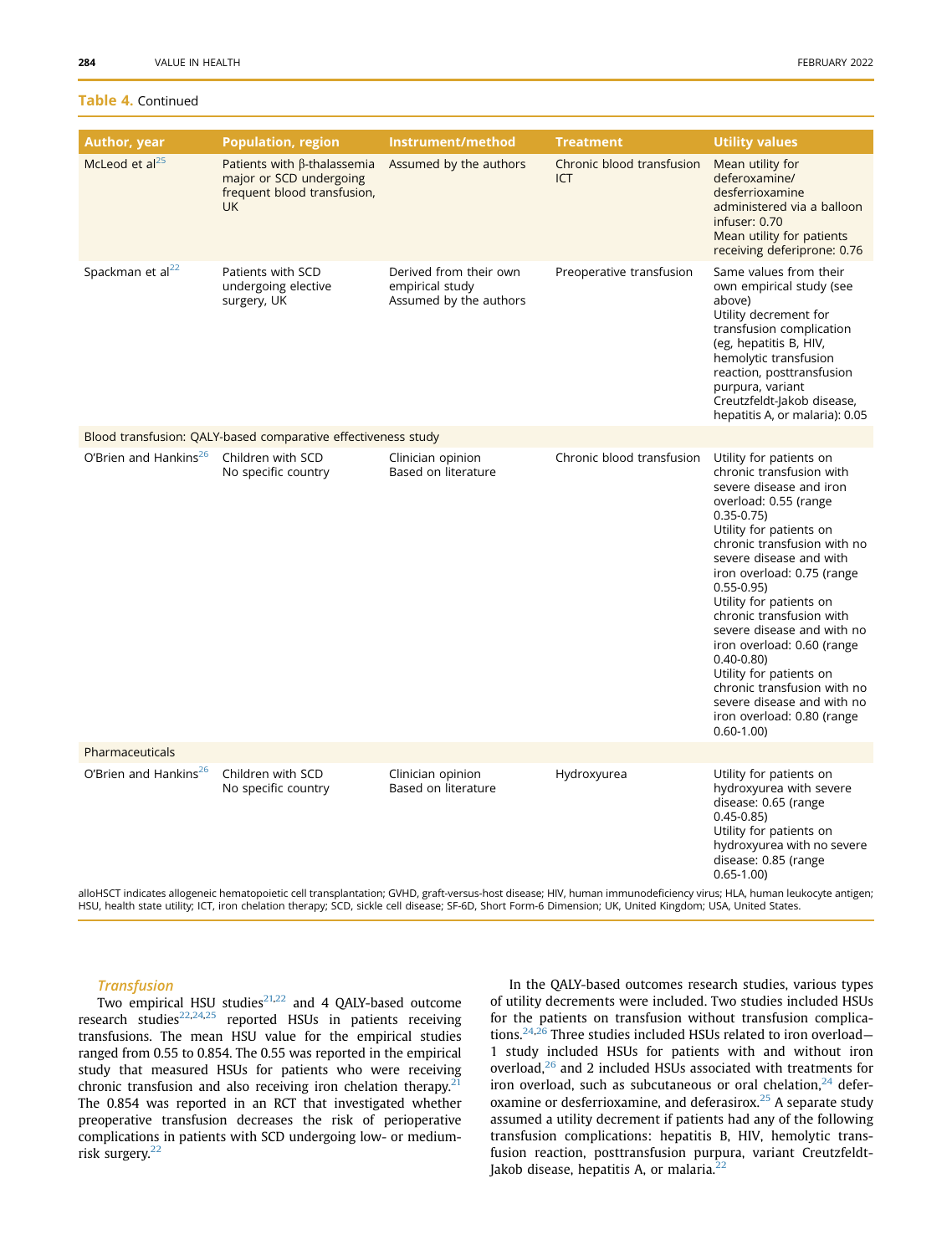### Table 4. Continued

| <b>Author, year</b>                                                                                                                                                                                                                                                                                                             | <b>Population, region</b>                                                                                 | Instrument/method                                                   | <b>Treatment</b>                 | <b>Utility values</b>                                                                                                                                                                                                                                                                                                                                                                                                                                                                                                                   |  |  |
|---------------------------------------------------------------------------------------------------------------------------------------------------------------------------------------------------------------------------------------------------------------------------------------------------------------------------------|-----------------------------------------------------------------------------------------------------------|---------------------------------------------------------------------|----------------------------------|-----------------------------------------------------------------------------------------------------------------------------------------------------------------------------------------------------------------------------------------------------------------------------------------------------------------------------------------------------------------------------------------------------------------------------------------------------------------------------------------------------------------------------------------|--|--|
| McLeod et al <sup>25</sup>                                                                                                                                                                                                                                                                                                      | Patients with $\beta$ -thalassemia<br>major or SCD undergoing<br>frequent blood transfusion,<br><b>UK</b> | Assumed by the authors                                              | Chronic blood transfusion<br>ICT | Mean utility for<br>deferoxamine/<br>desferrioxamine<br>administered via a balloon<br>infuser: 0.70<br>Mean utility for patients<br>receiving deferiprone: 0.76                                                                                                                                                                                                                                                                                                                                                                         |  |  |
| Spackman et al <sup>22</sup>                                                                                                                                                                                                                                                                                                    | Patients with SCD<br>undergoing elective<br>surgery, UK                                                   | Derived from their own<br>empirical study<br>Assumed by the authors | Preoperative transfusion         | Same values from their<br>own empirical study (see<br>above)<br>Utility decrement for<br>transfusion complication<br>(eg, hepatitis B, HIV,<br>hemolytic transfusion<br>reaction, posttransfusion<br>purpura, variant<br>Creutzfeldt-Jakob disease,<br>hepatitis A, or malaria): 0.05                                                                                                                                                                                                                                                   |  |  |
| Blood transfusion: QALY-based comparative effectiveness study                                                                                                                                                                                                                                                                   |                                                                                                           |                                                                     |                                  |                                                                                                                                                                                                                                                                                                                                                                                                                                                                                                                                         |  |  |
| O'Brien and Hankins <sup>26</sup>                                                                                                                                                                                                                                                                                               | Children with SCD<br>No specific country                                                                  | Clinician opinion<br>Based on literature                            | Chronic blood transfusion        | Utility for patients on<br>chronic transfusion with<br>severe disease and iron<br>overload: 0.55 (range<br>$0.35 - 0.75$<br>Utility for patients on<br>chronic transfusion with no<br>severe disease and with<br>iron overload: 0.75 (range<br>$0.55 - 0.95$<br>Utility for patients on<br>chronic transfusion with<br>severe disease and with no<br>iron overload: 0.60 (range<br>$0.40 - 0.80$<br>Utility for patients on<br>chronic transfusion with no<br>severe disease and with no<br>iron overload: 0.80 (range<br>$0.60 - 1.00$ |  |  |
| Pharmaceuticals                                                                                                                                                                                                                                                                                                                 |                                                                                                           |                                                                     |                                  |                                                                                                                                                                                                                                                                                                                                                                                                                                                                                                                                         |  |  |
| O'Brien and Hankins <sup>26</sup>                                                                                                                                                                                                                                                                                               | Children with SCD<br>No specific country                                                                  | Clinician opinion<br>Based on literature                            | Hydroxyurea                      | Utility for patients on<br>hydroxyurea with severe<br>disease: 0.65 (range<br>$0.45 - 0.85$<br>Utility for patients on<br>hydroxyurea with no severe<br>disease: 0.85 (range<br>$0.65 - 1.00$                                                                                                                                                                                                                                                                                                                                           |  |  |
| alloHSCT indicates allogeneic hematopoietic cell transplantation; GVHD, graft-versus-host disease; HIV, human immunodeficiency virus; HLA, human leukocyte antigen;<br>HSU, health state utility; ICT, iron chelation therapy; SCD, sickle cell disease; SF-6D, Short Form-6 Dimension; UK, United Kingdom; USA, United States. |                                                                                                           |                                                                     |                                  |                                                                                                                                                                                                                                                                                                                                                                                                                                                                                                                                         |  |  |

Two empirical HSU studies $21,22$  $21,22$  and 4 QALY-based outcome research studies $22,24,25$  $22,24,25$  $22,24,25$  reported HSUs in patients receiving transfusions. The mean HSU value for the empirical studies ranged from 0.55 to 0.854. The 0.55 was reported in the empirical study that measured HSUs for patients who were receiving chronic transfusion and also receiving iron chelation therapy.<sup>2</sup> The 0.854 was reported in an RCT that investigated whether preoperative transfusion decreases the risk of perioperative complications in patients with SCD undergoing low- or medium-risk surgery.<sup>[22](#page-11-14)</sup>

In the QALY-based outcomes research studies, various types of utility decrements were included. Two studies included HSUs for the patients on transfusion without transfusion complica-tions.<sup>[24](#page-11-16),[26](#page-11-18)</sup> Three studies included HSUs related to iron overload-1 study included HSUs for patients with and without iron overload,<sup>[26](#page-11-18)</sup> and 2 included HSUs associated with treatments for iron overload, such as subcutaneous or oral chelation, $24$  defer-oxamine or desferrioxamine, and deferasirox.<sup>[25](#page-11-17)</sup> A separate study assumed a utility decrement if patients had any of the following transfusion complications: hepatitis B, HIV, hemolytic transfusion reaction, posttransfusion purpura, variant Creutzfeldt-Jakob disease, hepatitis A, or malaria.<sup>[22](#page-11-14)</sup>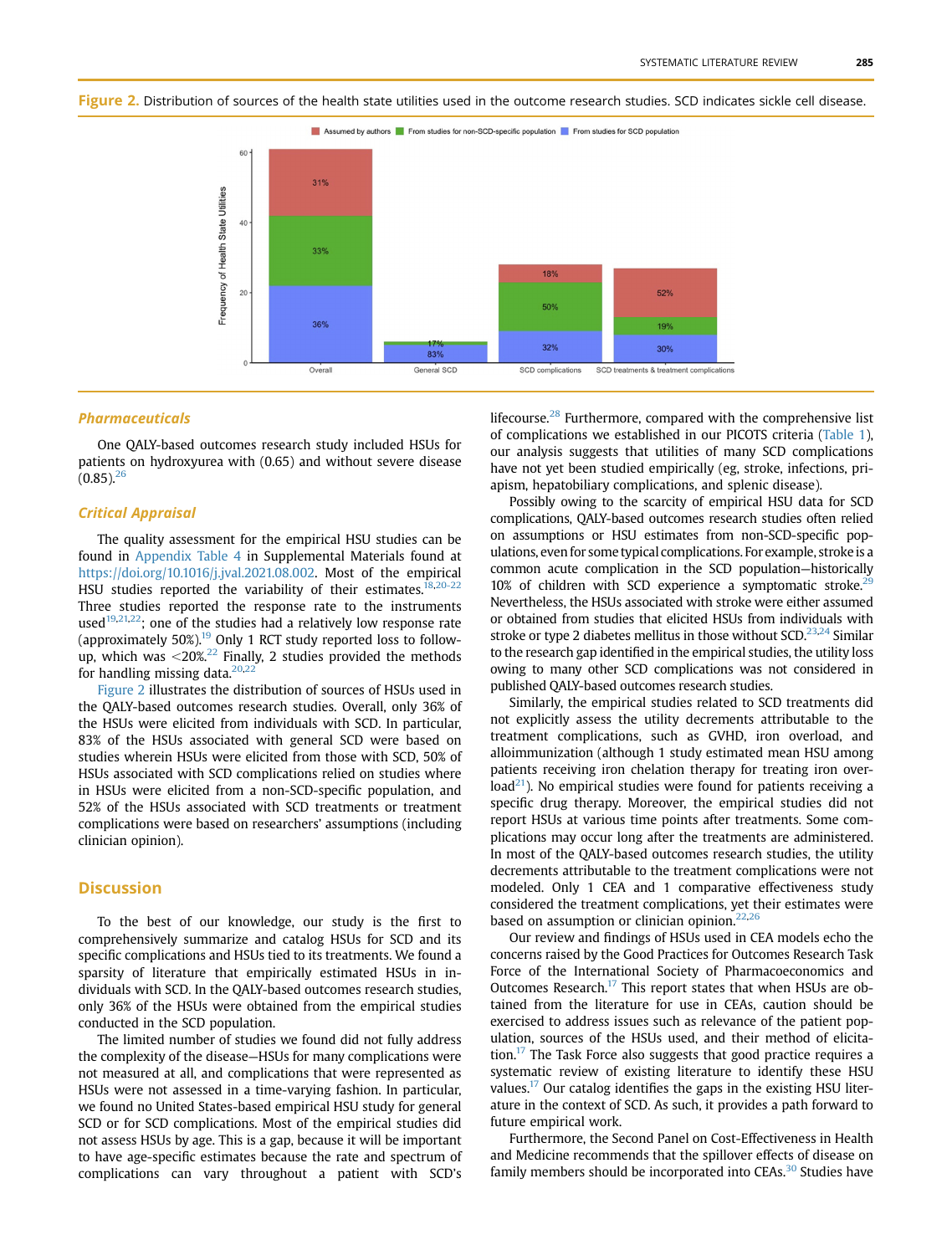<span id="page-9-0"></span>



83%

General SCD

50%

32%

SCD complications

#### Pharmaceuticals

One QALY-based outcomes research study included HSUs for patients on hydroxyurea with (0.65) and without severe disease  $(0.85)$ <sup>[26](#page-11-18)</sup>

36%

Overall

Frequency of Health State Utilities

### Critical Appraisal

The quality assessment for the empirical HSU studies can be found in Appendix Table 4 in Supplemental Materials found at <https://doi.org/10.1016/j.jval.2021.08.002>. Most of the empirical HSU studies reported the variability of their estimates.<sup>[18](#page-11-10),[20-22](#page-11-12)</sup> Three studies reported the response rate to the instruments used<sup>[19](#page-11-11),[21](#page-11-13)[,22](#page-11-14)</sup>; one of the studies had a relatively low response rate (approximately  $50\%$ ).<sup>[19](#page-11-11)</sup> Only 1 RCT study reported loss to followup, which was  $\langle 20\%, 22 \rangle$  Finally, 2 studies provided the methods for handling missing data. $20,22$  $20,22$  $20,22$ 

[Figure 2](#page-9-0) illustrates the distribution of sources of HSUs used in the QALY-based outcomes research studies. Overall, only 36% of the HSUs were elicited from individuals with SCD. In particular, 83% of the HSUs associated with general SCD were based on studies wherein HSUs were elicited from those with SCD, 50% of HSUs associated with SCD complications relied on studies where in HSUs were elicited from a non-SCD-specific population, and 52% of the HSUs associated with SCD treatments or treatment complications were based on researchers' assumptions (including clinician opinion).

### **Discussion**

To the best of our knowledge, our study is the first to comprehensively summarize and catalog HSUs for SCD and its specific complications and HSUs tied to its treatments. We found a sparsity of literature that empirically estimated HSUs in individuals with SCD. In the QALY-based outcomes research studies, only 36% of the HSUs were obtained from the empirical studies conducted in the SCD population.

The limited number of studies we found did not fully address the complexity of the disease—HSUs for many complications were not measured at all, and complications that were represented as HSUs were not assessed in a time-varying fashion. In particular, we found no United States-based empirical HSU study for general SCD or for SCD complications. Most of the empirical studies did not assess HSUs by age. This is a gap, because it will be important to have age-specific estimates because the rate and spectrum of complications can vary throughout a patient with SCD's lifecourse.<sup>[28](#page-11-20)</sup> Furthermore, compared with the comprehensive list of complications we established in our PICOTS criteria ([Table 1](#page-2-0)), our analysis suggests that utilities of many SCD complications have not yet been studied empirically (eg, stroke, infections, priapism, hepatobiliary complications, and splenic disease).

19%

30%

SCD treatments & treatment complications

Possibly owing to the scarcity of empirical HSU data for SCD complications, QALY-based outcomes research studies often relied on assumptions or HSU estimates from non-SCD-specific populations, even for some typical complications. For example, stroke is a common acute complication in the SCD population—historically  $10\%$  of children with SCD experience a symptomatic stroke.<sup>2</sup> Nevertheless, the HSUs associated with stroke were either assumed or obtained from studies that elicited HSUs from individuals with stroke or type 2 diabetes mellitus in those without  $SCD<sup>23,24</sup>$  $SCD<sup>23,24</sup>$  $SCD<sup>23,24</sup>$  Similar to the research gap identified in the empirical studies, the utility loss owing to many other SCD complications was not considered in published QALY-based outcomes research studies.

Similarly, the empirical studies related to SCD treatments did not explicitly assess the utility decrements attributable to the treatment complications, such as GVHD, iron overload, and alloimmunization (although 1 study estimated mean HSU among patients receiving iron chelation therapy for treating iron over $load^{21}$ ). No empirical studies were found for patients receiving a specific drug therapy. Moreover, the empirical studies did not report HSUs at various time points after treatments. Some complications may occur long after the treatments are administered. In most of the QALY-based outcomes research studies, the utility decrements attributable to the treatment complications were not modeled. Only 1 CEA and 1 comparative effectiveness study considered the treatment complications, yet their estimates were based on assumption or clinician opinion. $22,26$  $22,26$ 

Our review and findings of HSUs used in CEA models echo the concerns raised by the Good Practices for Outcomes Research Task Force of the International Society of Pharmacoeconomics and Outcomes Research. $17$  This report states that when HSUs are obtained from the literature for use in CEAs, caution should be exercised to address issues such as relevance of the patient population, sources of the HSUs used, and their method of elicitation[.17](#page-11-9) The Task Force also suggests that good practice requires a systematic review of existing literature to identify these HSU values.<sup>[17](#page-11-9)</sup> Our catalog identifies the gaps in the existing HSU literature in the context of SCD. As such, it provides a path forward to future empirical work.

Furthermore, the Second Panel on Cost-Effectiveness in Health and Medicine recommends that the spillover effects of disease on family members should be incorporated into CEAs.<sup>30</sup> Studies have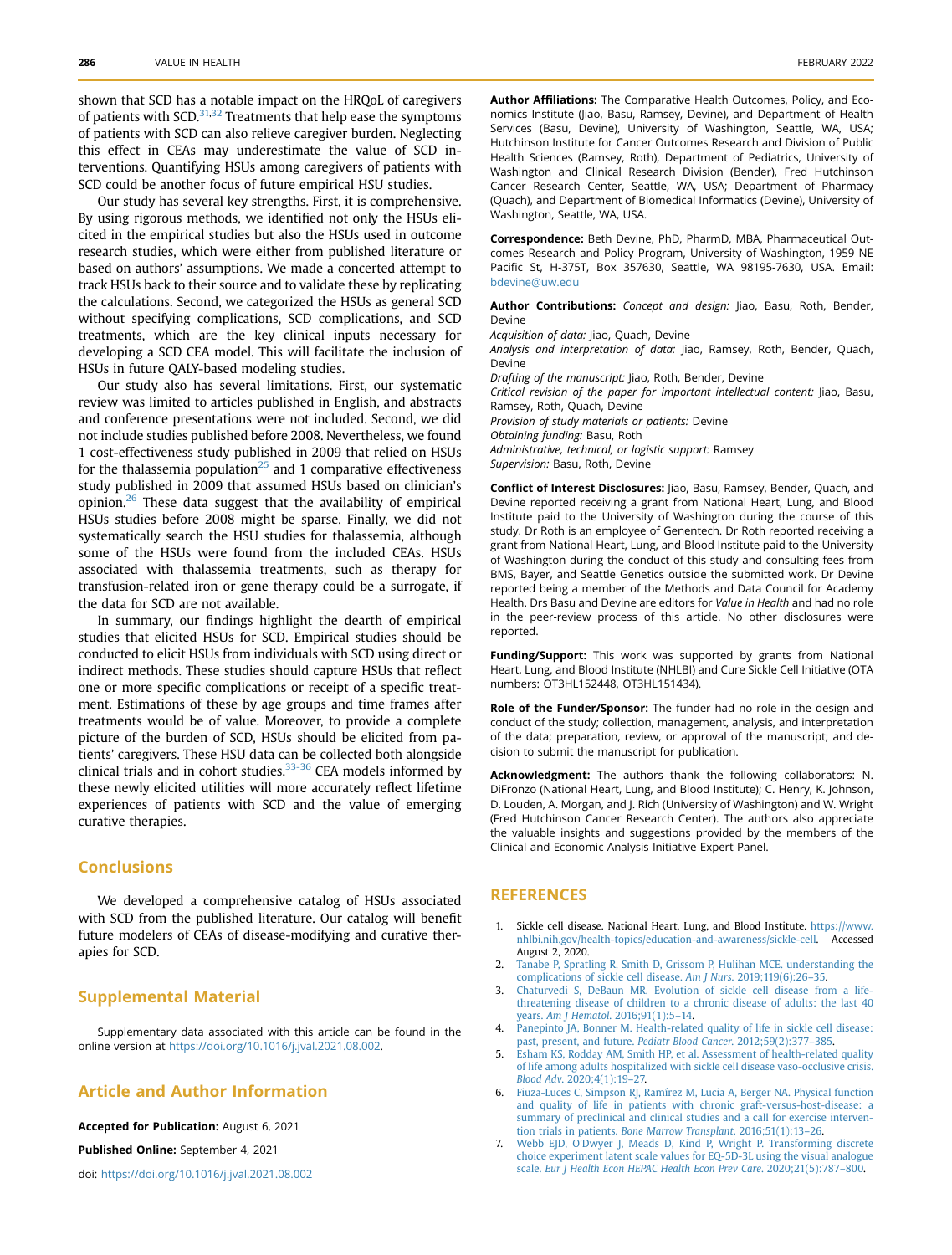shown that SCD has a notable impact on the HRQoL of caregivers of patients with SCD.<sup>31,[32](#page-11-24)</sup> Treatments that help ease the symptoms of patients with SCD can also relieve caregiver burden. Neglecting this effect in CEAs may underestimate the value of SCD interventions. Quantifying HSUs among caregivers of patients with SCD could be another focus of future empirical HSU studies.

Our study has several key strengths. First, it is comprehensive. By using rigorous methods, we identified not only the HSUs elicited in the empirical studies but also the HSUs used in outcome research studies, which were either from published literature or based on authors' assumptions. We made a concerted attempt to track HSUs back to their source and to validate these by replicating the calculations. Second, we categorized the HSUs as general SCD without specifying complications, SCD complications, and SCD treatments, which are the key clinical inputs necessary for developing a SCD CEA model. This will facilitate the inclusion of HSUs in future QALY-based modeling studies.

Our study also has several limitations. First, our systematic review was limited to articles published in English, and abstracts and conference presentations were not included. Second, we did not include studies published before 2008. Nevertheless, we found 1 cost-effectiveness study published in 2009 that relied on HSUs for the thalassemia population<sup>[25](#page-11-17)</sup> and 1 comparative effectiveness study published in 2009 that assumed HSUs based on clinician's opinion. $26$  These data suggest that the availability of empirical HSUs studies before 2008 might be sparse. Finally, we did not systematically search the HSU studies for thalassemia, although some of the HSUs were found from the included CEAs. HSUs associated with thalassemia treatments, such as therapy for transfusion-related iron or gene therapy could be a surrogate, if the data for SCD are not available.

In summary, our findings highlight the dearth of empirical studies that elicited HSUs for SCD. Empirical studies should be conducted to elicit HSUs from individuals with SCD using direct or indirect methods. These studies should capture HSUs that reflect one or more specific complications or receipt of a specific treatment. Estimations of these by age groups and time frames after treatments would be of value. Moreover, to provide a complete picture of the burden of SCD, HSUs should be elicited from patients' caregivers. These HSU data can be collected both alongside clinical trials and in cohort studies.<sup>33-36</sup> CEA models informed by these newly elicited utilities will more accurately reflect lifetime experiences of patients with SCD and the value of emerging curative therapies.

### **Conclusions**

We developed a comprehensive catalog of HSUs associated with SCD from the published literature. Our catalog will benefit future modelers of CEAs of disease-modifying and curative therapies for SCD.

### Supplemental Material

Supplementary data associated with this article can be found in the online version at <https://doi.org/10.1016/j.jval.2021.08.002>.

# Article and Author Information

Accepted for Publication: August 6, 2021

Published Online: September 4, 2021

doi: [https://doi.org/10.1016/j.jval.2021.08.002](http://doi.org/https://doi.org/10.1016/j.jval.2021.08.002)

Author Affiliations: The Comparative Health Outcomes, Policy, and Economics Institute (Jiao, Basu, Ramsey, Devine), and Department of Health Services (Basu, Devine), University of Washington, Seattle, WA, USA; Hutchinson Institute for Cancer Outcomes Research and Division of Public Health Sciences (Ramsey, Roth), Department of Pediatrics, University of Washington and Clinical Research Division (Bender), Fred Hutchinson Cancer Research Center, Seattle, WA, USA; Department of Pharmacy (Quach), and Department of Biomedical Informatics (Devine), University of Washington, Seattle, WA, USA.

Correspondence: Beth Devine, PhD, PharmD, MBA, Pharmaceutical Outcomes Research and Policy Program, University of Washington, 1959 NE Pacific St, H-375T, Box 357630, Seattle, WA 98195-7630, USA. Email: [bdevine@uw.edu](mailto:bdevine@uw.edu)

Author Contributions: Concept and design: Jiao, Basu, Roth, Bender, Devine

Acquisition of data: Jiao, Quach, Devine

Analysis and interpretation of data: Jiao, Ramsey, Roth, Bender, Quach, Devine

Drafting of the manuscript: Jiao, Roth, Bender, Devine Critical revision of the paper for important intellectual content: Jiao, Basu, Ramsey, Roth, Quach, Devine Provision of study materials or patients: Devine Obtaining funding: Basu, Roth Administrative, technical, or logistic support: Ramsey Supervision: Basu, Roth, Devine

Conflict of Interest Disclosures: Jiao, Basu, Ramsey, Bender, Quach, and Devine reported receiving a grant from National Heart, Lung, and Blood Institute paid to the University of Washington during the course of this study. Dr Roth is an employee of Genentech. Dr Roth reported receiving a grant from National Heart, Lung, and Blood Institute paid to the University of Washington during the conduct of this study and consulting fees from BMS, Bayer, and Seattle Genetics outside the submitted work. Dr Devine reported being a member of the Methods and Data Council for Academy Health. Drs Basu and Devine are editors for Value in Health and had no role in the peer-review process of this article. No other disclosures were reported.

Funding/Support: This work was supported by grants from National Heart, Lung, and Blood Institute (NHLBI) and Cure Sickle Cell Initiative (OTA numbers: OT3HL152448, OT3HL151434).

Role of the Funder/Sponsor: The funder had no role in the design and conduct of the study; collection, management, analysis, and interpretation of the data; preparation, review, or approval of the manuscript; and decision to submit the manuscript for publication.

Acknowledgment: The authors thank the following collaborators: N. DiFronzo (National Heart, Lung, and Blood Institute); C. Henry, K. Johnson, D. Louden, A. Morgan, and J. Rich (University of Washington) and W. Wright (Fred Hutchinson Cancer Research Center). The authors also appreciate the valuable insights and suggestions provided by the members of the Clinical and Economic Analysis Initiative Expert Panel.

### **REFERENCES**

- <span id="page-10-0"></span>1. Sickle cell disease. National Heart, Lung, and Blood Institute. [https://www.](https://www.nhlbi.nih.gov/health-topics/education-and-awareness/sickle-cell) [nhlbi.nih.gov/health-topics/education-and-awareness/sickle-cell](https://www.nhlbi.nih.gov/health-topics/education-and-awareness/sickle-cell). Accessed August 2, 2020.
- <span id="page-10-1"></span>2. [Tanabe P, Spratling R, Smith D, Grissom P, Hulihan MCE. understanding the](http://refhub.elsevier.com/S1098-3015(21)01688-0/sref2) [complications of sickle cell disease.](http://refhub.elsevier.com/S1098-3015(21)01688-0/sref2) Am J Nurs. 2019;119(6):26–35.
- <span id="page-10-2"></span>3. [Chaturvedi S, DeBaun MR. Evolution of sickle cell disease from a life](http://refhub.elsevier.com/S1098-3015(21)01688-0/sref3)[threatening disease of children to a chronic disease of adults: the last 40](http://refhub.elsevier.com/S1098-3015(21)01688-0/sref3) years. Am J Hematol[. 2016;91\(1\):5](http://refhub.elsevier.com/S1098-3015(21)01688-0/sref3)–14.
- <span id="page-10-3"></span>[Panepinto JA, Bonner M. Health-related quality of life in sickle cell disease:](http://refhub.elsevier.com/S1098-3015(21)01688-0/sref4) [past, present, and future.](http://refhub.elsevier.com/S1098-3015(21)01688-0/sref4) Pediatr Blood Cancer. 2012;59(2):377–385.
- <span id="page-10-4"></span>[Esham KS, Rodday AM, Smith HP, et al. Assessment of health-related quality](http://refhub.elsevier.com/S1098-3015(21)01688-0/sref5) [of life among adults hospitalized with sickle cell disease vaso-occlusive crisis.](http://refhub.elsevier.com/S1098-3015(21)01688-0/sref5) Blood Adv[. 2020;4\(1\):19](http://refhub.elsevier.com/S1098-3015(21)01688-0/sref5)–27.
- <span id="page-10-5"></span>6. [Fiuza-Luces C, Simpson RJ, Ramírez M, Lucia A, Berger NA. Physical function](http://refhub.elsevier.com/S1098-3015(21)01688-0/sref6) [and quality of life in patients with chronic graft-versus-host-disease: a](http://refhub.elsevier.com/S1098-3015(21)01688-0/sref6) [summary of preclinical and clinical studies and a call for exercise interven](http://refhub.elsevier.com/S1098-3015(21)01688-0/sref6)tion trials in patients. [Bone Marrow Transplant](http://refhub.elsevier.com/S1098-3015(21)01688-0/sref6). 2016;51(1):13–26.
- <span id="page-10-6"></span>Webb EJD, O'[Dwyer J, Meads D, Kind P, Wright P. Transforming discrete](http://refhub.elsevier.com/S1098-3015(21)01688-0/sref7) [choice experiment latent scale values for EQ-5D-3L using the visual analogue](http://refhub.elsevier.com/S1098-3015(21)01688-0/sref7) scale. [Eur J Health Econ HEPAC Health Econ Prev Care](http://refhub.elsevier.com/S1098-3015(21)01688-0/sref7). 2020;21(5):787–800.